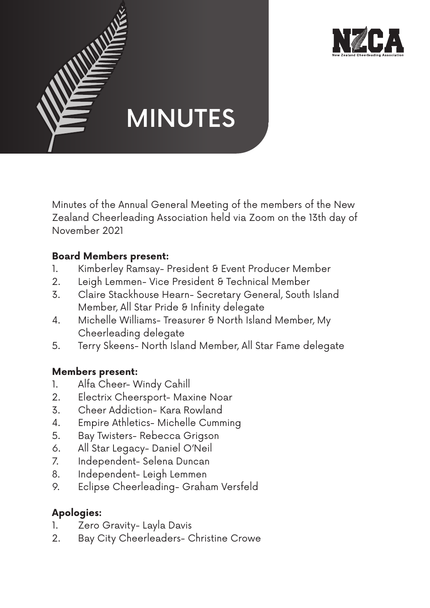



Minutes of the Annual General Meeting of the members of the New Zealand Cheerleading Association held via Zoom on the 13th day of November 2021

# **Board Members present:**

- 1. Kimberley Ramsay- President & Event Producer Member
- 2. Leigh Lemmen- Vice President & Technical Member
- 3. Claire Stackhouse Hearn- Secretary General, South Island Member, All Star Pride & Infinity delegate
- 4. Michelle Williams- Treasurer & North Island Member, My Cheerleading delegate
- 5. Terry Skeens- North Island Member, All Star Fame delegate

## **Members present:**

- 1. Alfa Cheer- Windy Cahill
- 2. Electrix Cheersport- Maxine Noar
- 3. Cheer Addiction- Kara Rowland
- 4. Empire Athletics- Michelle Cumming
- 5. Bay Twisters- Rebecca Grigson
- 6. All Star Legacy- Daniel O'Neil
- 7. Independent- Selena Duncan
- 8. Independent- Leigh Lemmen
- 9. Eclipse Cheerleading- Graham Versfeld

# **Apologies:**

- 1. Zero Gravity- Layla Davis
- 2. Bay City Cheerleaders- Christine Crowe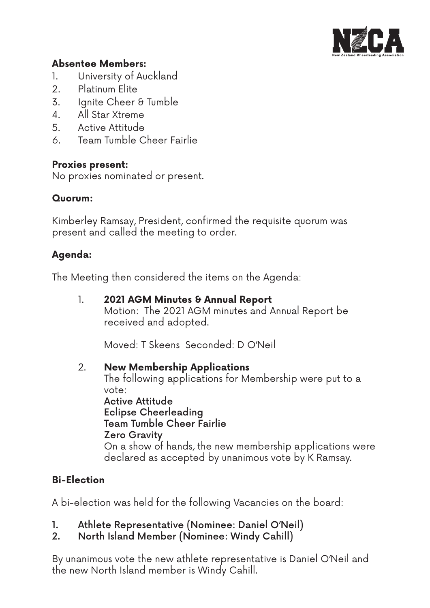

### **Absentee Members:**

- 1. University of Auckland
- 2. Platinum Elite
- 3. Ignite Cheer & Tumble
- 4. All Star Xtreme
- 5. Active Attitude
- 6. Team Tumble Cheer Fairlie

### **Proxies present:**

No proxies nominated or present.

### **Quorum:**

Kimberley Ramsay, President, confirmed the requisite quorum was present and called the meeting to order.

## **Agenda:**

The Meeting then considered the items on the Agenda:

1. **2021 AGM Minutes & Annual Report**  Motion: The 2021 AGM minutes and Annual Report be received and adopted.

Moved: T Skeens Seconded: D O'Neil

## 2. **New Membership Applications**

 The following applications for Membership were put to a vote:

 Active Attitude Eclipse Cheerleading Team Tumble Cheer Fairlie Zero Gravity On a show of hands, the new membership applications were declared as accepted by unanimous vote by K Ramsay.

# **Bi-Election**

A bi-election was held for the following Vacancies on the board:

- 1. Athlete Representative (Nominee: Daniel O'Neil)
- 2. North Island Member (Nominee: Windy Cahill)

By unanimous vote the new athlete representative is Daniel O'Neil and the new North Island member is Windy Cahill.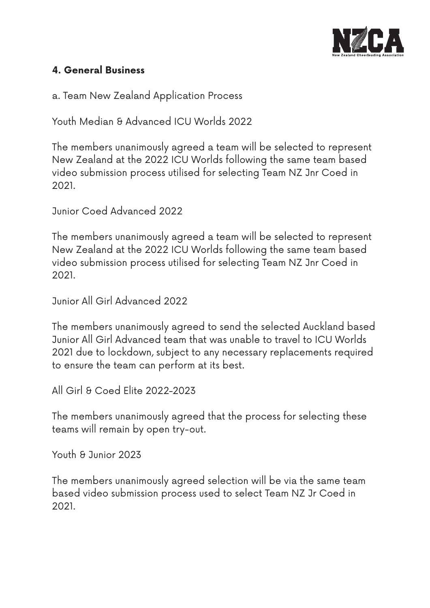

# **4. General Business**

a. Team New Zealand Application Process

Youth Median & Advanced ICU Worlds 2022

The members unanimously agreed a team will be selected to represent New Zealand at the 2022 ICU Worlds following the same team based video submission process utilised for selecting Team NZ Jnr Coed in 2021.

Junior Coed Advanced 2022

The members unanimously agreed a team will be selected to represent New Zealand at the 2022 ICU Worlds following the same team based video submission process utilised for selecting Team NZ Jnr Coed in 2021.

Junior All Girl Advanced 2022

The members unanimously agreed to send the selected Auckland based Junior All Girl Advanced team that was unable to travel to ICU Worlds 2021 due to lockdown, subject to any necessary replacements required to ensure the team can perform at its best.

All Girl & Coed Elite 2022-2023

The members unanimously agreed that the process for selecting these teams will remain by open try-out.

Youth & Junior 2023

The members unanimously agreed selection will be via the same team based video submission process used to select Team NZ Jr Coed in 2021.